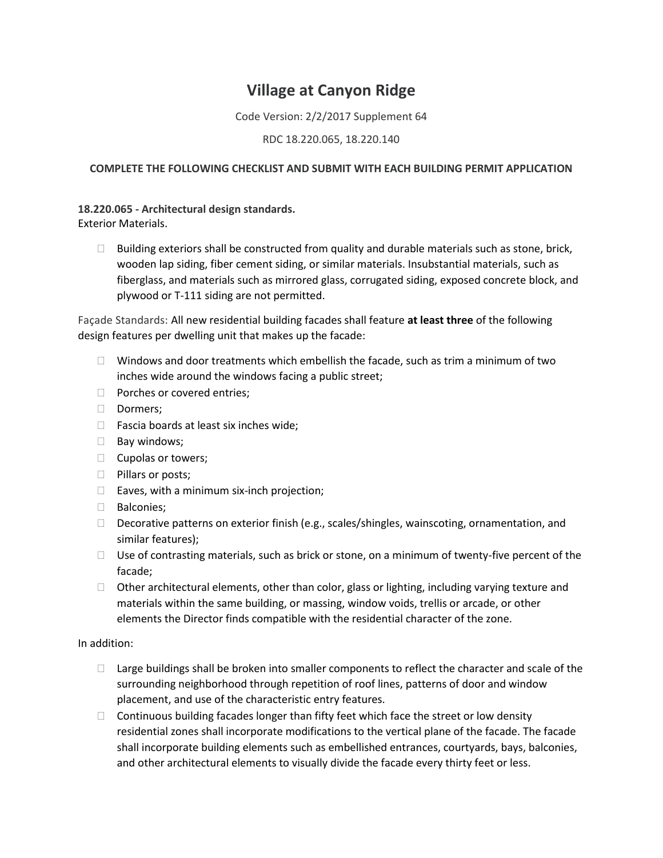# **Village at Canyon Ridge**

Code Version: 2/2/2017 Supplement 64

# RDC 18.220.065, 18.220.140

## **COMPLETE THE FOLLOWING CHECKLIST AND SUBMIT WITH EACH BUILDING PERMIT APPLICATION**

**18.220.065 - Architectural design standards.** Exterior Materials.

 $\Box$  Building exteriors shall be constructed from quality and durable materials such as stone, brick, wooden lap siding, fiber cement siding, or similar materials. Insubstantial materials, such as fiberglass, and materials such as mirrored glass, corrugated siding, exposed concrete block, and plywood or T-111 siding are not permitted.

Façade Standards: All new residential building facades shall feature **at least three** of the following design features per dwelling unit that makes up the facade:

- $\Box$  Windows and door treatments which embellish the facade, such as trim a minimum of two inches wide around the windows facing a public street;
- D Porches or covered entries;
- Dormers:
- $\Box$  Fascia boards at least six inches wide;
- **Bay windows;**
- $\Box$  Cupolas or towers;
- $\Box$  Pillars or posts;
- $\Box$  Eaves, with a minimum six-inch projection;
- **Balconies**;
- $\Box$  Decorative patterns on exterior finish (e.g., scales/shingles, wainscoting, ornamentation, and similar features);
- $\Box$  Use of contrasting materials, such as brick or stone, on a minimum of twenty-five percent of the facade;
- $\Box$  Other architectural elements, other than color, glass or lighting, including varying texture and materials within the same building, or massing, window voids, trellis or arcade, or other elements the Director finds compatible with the residential character of the zone.

#### In addition:

- $\Box$  Large buildings shall be broken into smaller components to reflect the character and scale of the surrounding neighborhood through repetition of roof lines, patterns of door and window placement, and use of the characteristic entry features.
- $\Box$  Continuous building facades longer than fifty feet which face the street or low density residential zones shall incorporate modifications to the vertical plane of the facade. The facade shall incorporate building elements such as embellished entrances, courtyards, bays, balconies, and other architectural elements to visually divide the facade every thirty feet or less.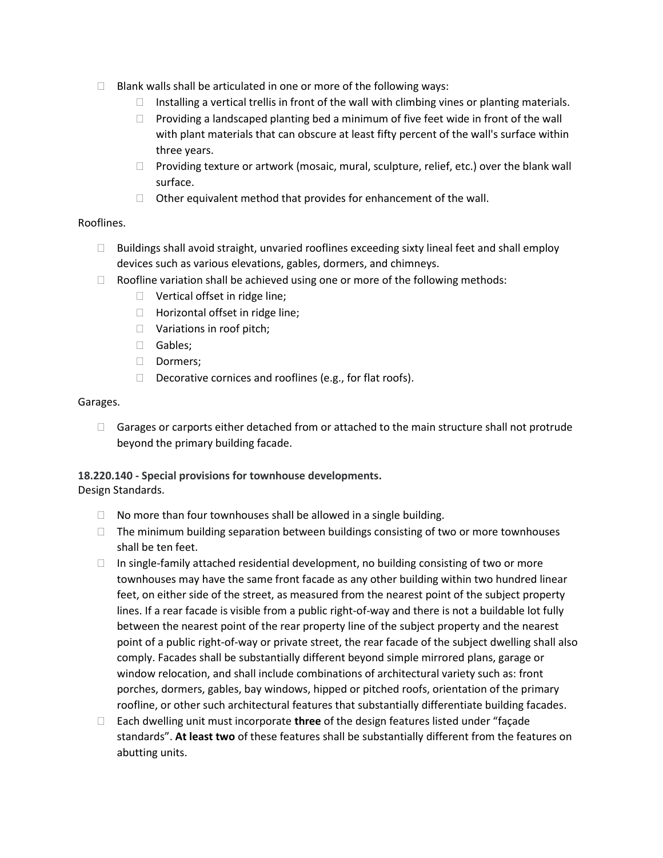- $\Box$  Blank walls shall be articulated in one or more of the following ways:
	- $\Box$  Installing a vertical trellis in front of the wall with climbing vines or planting materials.
	- $\Box$  Providing a landscaped planting bed a minimum of five feet wide in front of the wall with plant materials that can obscure at least fifty percent of the wall's surface within three years.
	- $\Box$  Providing texture or artwork (mosaic, mural, sculpture, relief, etc.) over the blank wall surface.
	- $\Box$  Other equivalent method that provides for enhancement of the wall.

## Rooflines.

- $\Box$  Buildings shall avoid straight, unvaried rooflines exceeding sixty lineal feet and shall employ devices such as various elevations, gables, dormers, and chimneys.
- $\Box$  Roofline variation shall be achieved using one or more of the following methods:
	- □ Vertical offset in ridge line;
	- $\Box$  Horizontal offset in ridge line;
	- □ Variations in roof pitch;
	- Gables;
	- Dormers;
	- $\Box$  Decorative cornices and rooflines (e.g., for flat roofs).

#### Garages.

 $\Box$  Garages or carports either detached from or attached to the main structure shall not protrude beyond the primary building facade.

# **18.220.140 - Special provisions for townhouse developments.**

#### Design Standards.

- $\Box$  No more than four townhouses shall be allowed in a single building.
- $\Box$  The minimum building separation between buildings consisting of two or more townhouses shall be ten feet.
- $\Box$  In single-family attached residential development, no building consisting of two or more townhouses may have the same front facade as any other building within two hundred linear feet, on either side of the street, as measured from the nearest point of the subject property lines. If a rear facade is visible from a public right-of-way and there is not a buildable lot fully between the nearest point of the rear property line of the subject property and the nearest point of a public right-of-way or private street, the rear facade of the subject dwelling shall also comply. Facades shall be substantially different beyond simple mirrored plans, garage or window relocation, and shall include combinations of architectural variety such as: front porches, dormers, gables, bay windows, hipped or pitched roofs, orientation of the primary roofline, or other such architectural features that substantially differentiate building facades.
- Each dwelling unit must incorporate **three** of the design features listed under "façade standards". **At least two** of these features shall be substantially different from the features on abutting units.